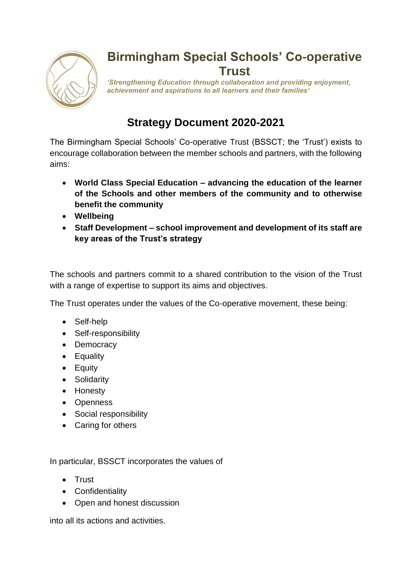

## **Birmingham Special Schools' Co-operative Trust**

*'Strengthening Education through collaboration and providing enjoyment, achievement and aspirations to all learners and their families'* 

## **Strategy Document 2020-2021**

The Birmingham Special Schools' Co-operative Trust (BSSCT; the 'Trust') exists to encourage collaboration between the member schools and partners, with the following aims:

- **World Class Special Education – advancing the education of the learner of the Schools and other members of the community and to otherwise benefit the community**
- **Wellbeing**
- **Staff Development – school improvement and development of its staff are key areas of the Trust's strategy**

The schools and partners commit to a shared contribution to the vision of the Trust with a range of expertise to support its aims and objectives.

The Trust operates under the values of the Co-operative movement, these being:

- Self-help
- Self-responsibility
- Democracy
- Equality
- Equity
- Solidarity
- Honesty
- Openness
- Social responsibility
- Caring for others

In particular, BSSCT incorporates the values of

- Trust
- Confidentiality
- Open and honest discussion

into all its actions and activities.